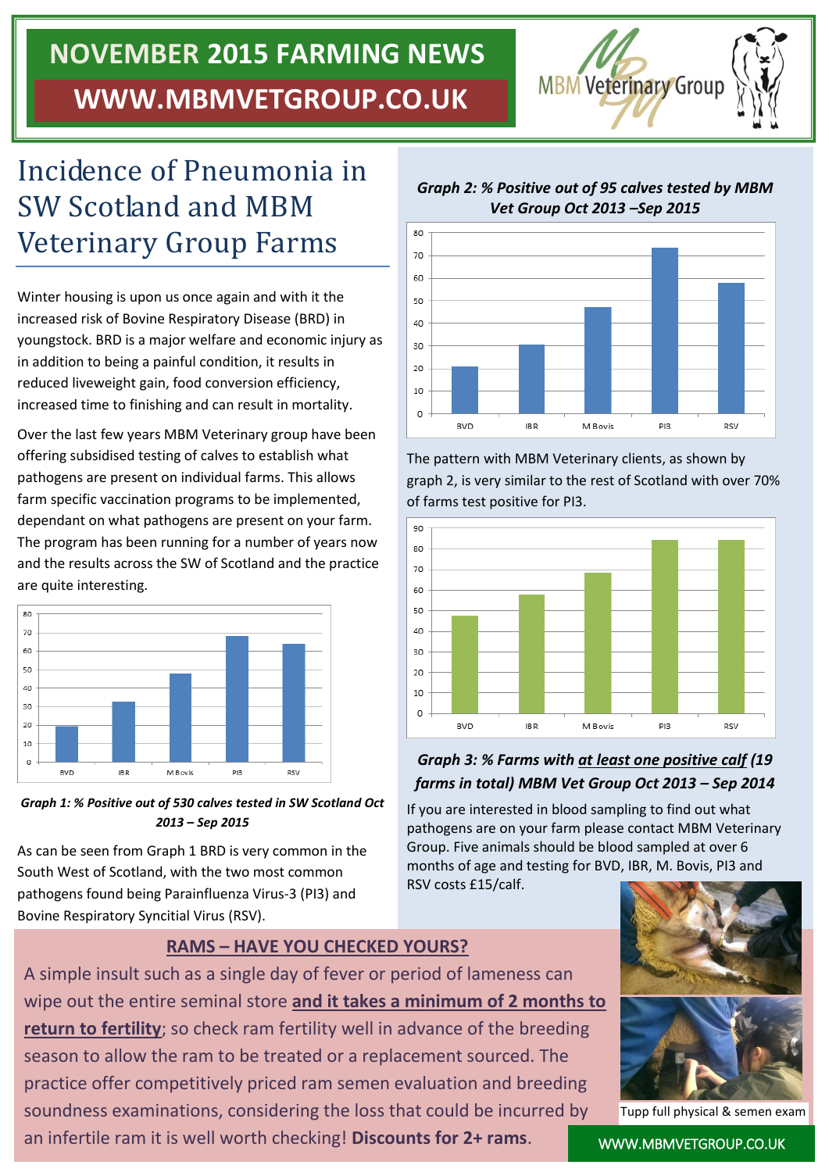# **NOVEMBER 2015 FARMING NEWS WWW.MBMVETGROUP.CO.UK**



## Incidence of Pneumonia in SW Scotland and MBM Veterinary Group Farms

Winter housing is upon us once again and with it the increased risk of Bovine Respiratory Disease (BRD) in youngstock. BRD is a major welfare and economic injury as in addition to being a painful condition, it results in reduced liveweight gain, food conversion efficiency, increased time to finishing and can result in mortality.

Over the last few years MBM Veterinary group have been offering subsidised testing of calves to establish what pathogens are present on individual farms. This allows farm specific vaccination programs to be implemented, dependant on what pathogens are present on your farm. The program has been running for a number of years now and the results across the SW of Scotland and the practice are quite interesting.





As can be seen from Graph 1 BRD is very common in the South West of Scotland, with the two most common pathogens found being Parainfluenza Virus-3 (PI3) and Bovine Respiratory Syncitial Virus (RSV).

#### **RAMS – HAVE YOU CHECKED YOURS?**

A simple insult such as a single day of fever or period of lameness can wipe out the entire seminal store **and it takes a minimum of 2 months to return to fertility**; so check ram fertility well in advance of the breeding season to allow the ram to be treated or a replacement sourced. The practice offer competitively priced ram semen evaluation and breeding soundness examinations, considering the loss that could be incurred by an infertile ram it is well worth checking! **Discounts for 2+ rams**.



*Graph 2: % Positive out of 95 calves tested by MBM* 

The pattern with MBM Veterinary clients, as shown by graph 2, is very similar to the rest of Scotland with over 70% of farms test positive for PI3.



#### *Graph 3: % Farms with at least one positive calf (19 farms in total) MBM Vet Group Oct 2013 – Sep 2014*

If you are interested in blood sampling to find out what pathogens are on your farm please contact MBM Veterinary Group. Five animals should be blood sampled at over 6 months of age and testing for BVD, IBR, M. Bovis, PI3 and RSV costs £15/calf.



Tupp full physical & semen exam

WWW.MBMVETGROUP.CO.UK